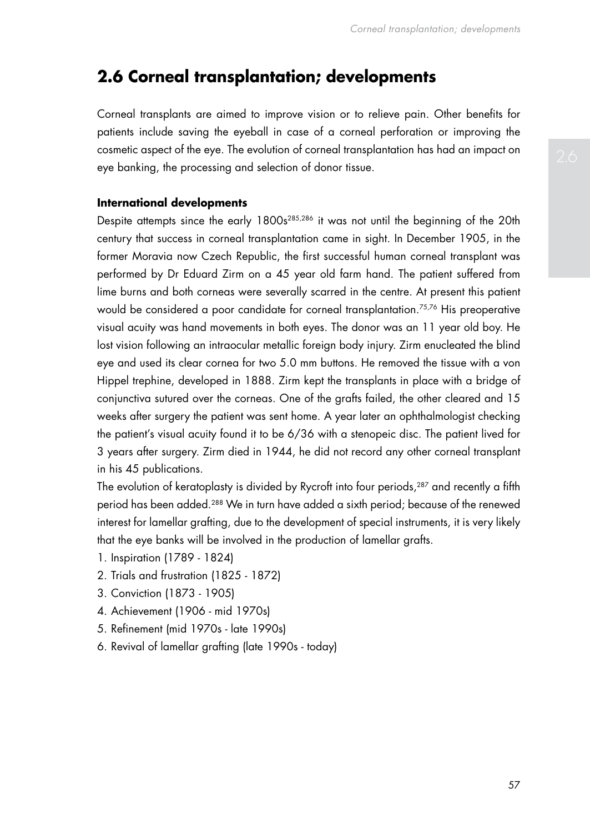# **2.6 Corneal transplantation; developments**

Corneal transplants are aimed to improve vision or to relieve pain. Other benefits for patients include saving the eyeball in case of a corneal perforation or improving the cosmetic aspect of the eye. The evolution of corneal transplantation has had an impact on eye banking, the processing and selection of donor tissue.

## **International developments**

Despite attempts since the early 1800s<sup>285,286</sup> it was not until the beginning of the 20th century that success in corneal transplantation came in sight. In December 1905, in the former Moravia now Czech Republic, the first successful human corneal transplant was performed by Dr Eduard Zirm on a 45 year old farm hand. The patient suffered from lime burns and both corneas were severally scarred in the centre. At present this patient would be considered a poor candidate for corneal transplantation.<sup>75,76</sup> His preoperative visual acuity was hand movements in both eyes. The donor was an 11 year old boy. He lost vision following an intraocular metallic foreign body injury. Zirm enucleated the blind eye and used its clear cornea for two 5.0 mm buttons. He removed the tissue with a von Hippel trephine, developed in 1888. Zirm kept the transplants in place with a bridge of conjunctiva sutured over the corneas. One of the grafts failed, the other cleared and 15 weeks after surgery the patient was sent home. A year later an ophthalmologist checking the patient's visual acuity found it to be 6/36 with a stenopeic disc. The patient lived for 3 years after surgery. Zirm died in 1944, he did not record any other corneal transplant in his 45 publications.

The evolution of keratoplasty is divided by Rycroft into four periods,<sup>287</sup> and recently a fifth period has been added.288 We in turn have added a sixth period; because of the renewed interest for lamellar grafting, due to the development of special instruments, it is very likely that the eye banks will be involved in the production of lamellar grafts.

- 1. Inspiration (1789 1824)
- 2. Trials and frustration (1825 1872)
- 3. Conviction (1873 1905)
- 4. Achievement (1906 mid 1970s)
- 5. Refinement (mid 1970s late 1990s)
- 6. Revival of lamellar grafting (late 1990s today)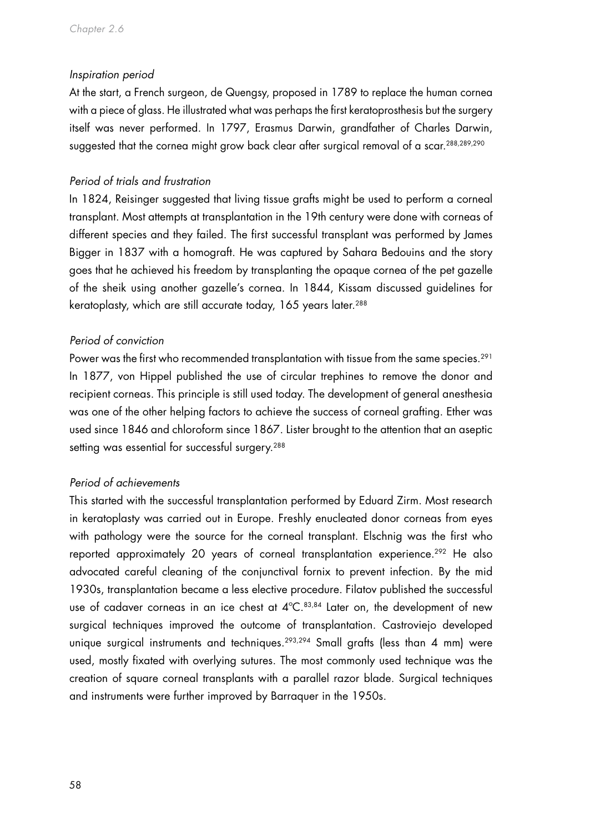#### *Inspiration period*

At the start, a French surgeon, de Quengsy, proposed in 1789 to replace the human cornea with a piece of glass. He illustrated what was perhaps the first keratoprosthesis but the surgery itself was never performed. In 1797, Erasmus Darwin, grandfather of Charles Darwin, suggested that the cornea might grow back clear after surgical removal of a scar.<sup>288,289,290</sup>

## *Period of trials and frustration*

In 1824, Reisinger suggested that living tissue grafts might be used to perform a corneal transplant. Most attempts at transplantation in the 19th century were done with corneas of different species and they failed. The first successful transplant was performed by James Bigger in 1837 with a homograft. He was captured by Sahara Bedouins and the story goes that he achieved his freedom by transplanting the opaque cornea of the pet gazelle of the sheik using another gazelle's cornea. In 1844, Kissam discussed guidelines for keratoplasty, which are still accurate today, 165 years later.<sup>288</sup>

# *Period of conviction*

Power was the first who recommended transplantation with tissue from the same species.<sup>291</sup> In 1877, von Hippel published the use of circular trephines to remove the donor and recipient corneas. This principle is still used today. The development of general anesthesia was one of the other helping factors to achieve the success of corneal grafting. Ether was used since 1846 and chloroform since 1867. Lister brought to the attention that an aseptic setting was essential for successful surgery.<sup>288</sup>

## *Period of achievements*

This started with the successful transplantation performed by Eduard Zirm. Most research in keratoplasty was carried out in Europe. Freshly enucleated donor corneas from eyes with pathology were the source for the corneal transplant. Elschnig was the first who reported approximately 20 years of corneal transplantation experience.<sup>292</sup> He also advocated careful cleaning of the conjunctival fornix to prevent infection. By the mid 1930s, transplantation became a less elective procedure. Filatov published the successful use of cadaver corneas in an ice chest at 4°C.<sup>83,84</sup> Later on, the development of new surgical techniques improved the outcome of transplantation. Castroviejo developed unique surgical instruments and techniques.<sup>293,294</sup> Small grafts (less than 4 mm) were used, mostly fixated with overlying sutures. The most commonly used technique was the creation of square corneal transplants with a parallel razor blade. Surgical techniques and instruments were further improved by Barraquer in the 1950s.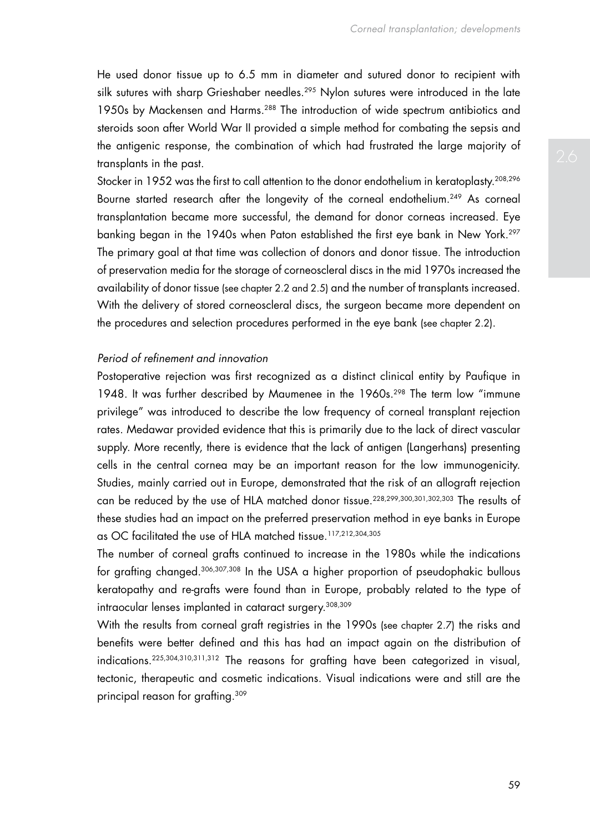He used donor tissue up to 6.5 mm in diameter and sutured donor to recipient with silk sutures with sharp Grieshaber needles.<sup>295</sup> Nylon sutures were introduced in the late 1950s by Mackensen and Harms.<sup>288</sup> The introduction of wide spectrum antibiotics and steroids soon after World War II provided a simple method for combating the sepsis and the antigenic response, the combination of which had frustrated the large majority of transplants in the past.

Stocker in 1952 was the first to call attention to the donor endothelium in keratoplasty.<sup>208,296</sup> Bourne started research after the longevity of the corneal endothelium.<sup>249</sup> As corneal transplantation became more successful, the demand for donor corneas increased. Eye banking began in the 1940s when Paton established the first eye bank in New York.297 The primary goal at that time was collection of donors and donor tissue. The introduction of preservation media for the storage of corneoscleral discs in the mid 1970s increased the availability of donor tissue (see chapter 2.2 and 2.5) and the number of transplants increased. With the delivery of stored corneoscleral discs, the surgeon became more dependent on the procedures and selection procedures performed in the eye bank (see chapter 2.2).

### *Period of refinement and innovation*

Postoperative rejection was first recognized as a distinct clinical entity by Paufique in 1948. It was further described by Maumenee in the 1960s.<sup>298</sup> The term low "immune privilege" was introduced to describe the low frequency of corneal transplant rejection rates. Medawar provided evidence that this is primarily due to the lack of direct vascular supply. More recently, there is evidence that the lack of antigen (Langerhans) presenting cells in the central cornea may be an important reason for the low immunogenicity. Studies, mainly carried out in Europe, demonstrated that the risk of an allograft rejection can be reduced by the use of HLA matched donor tissue.228,299,300,301,302,303 The results of these studies had an impact on the preferred preservation method in eye banks in Europe as OC facilitated the use of HLA matched tissue.117,212,304,305

The number of corneal grafts continued to increase in the 1980s while the indications for grafting changed.306,307,308 In the USA a higher proportion of pseudophakic bullous keratopathy and re-grafts were found than in Europe, probably related to the type of intraocular lenses implanted in cataract surgery.308,309

With the results from corneal graft registries in the 1990s (see chapter 2.7) the risks and benefits were better defined and this has had an impact again on the distribution of indications.225,304,310,311,312 The reasons for grafting have been categorized in visual, tectonic, therapeutic and cosmetic indications. Visual indications were and still are the principal reason for grafting.309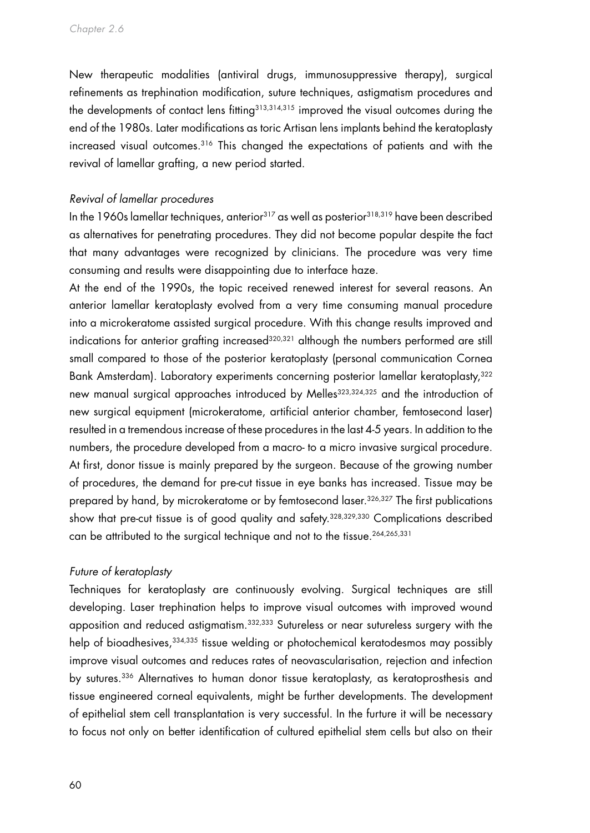New therapeutic modalities (antiviral drugs, immunosuppressive therapy), surgical refinements as trephination modification, suture techniques, astigmatism procedures and the developments of contact lens fitting<sup>313,314,315</sup> improved the visual outcomes during the end of the 1980s. Later modifications as toric Artisan lens implants behind the keratoplasty increased visual outcomes.316 This changed the expectations of patients and with the revival of lamellar grafting, a new period started.

### *Revival of lamellar procedures*

In the 1960s lamellar techniques, anterior $317$  as well as posterior $318,319$  have been described as alternatives for penetrating procedures. They did not become popular despite the fact that many advantages were recognized by clinicians. The procedure was very time consuming and results were disappointing due to interface haze.

At the end of the 1990s, the topic received renewed interest for several reasons. An anterior lamellar keratoplasty evolved from a very time consuming manual procedure into a microkeratome assisted surgical procedure. With this change results improved and indications for anterior grafting increased<sup>320,321</sup> although the numbers performed are still small compared to those of the posterior keratoplasty (personal communication Cornea Bank Amsterdam). Laboratory experiments concerning posterior lamellar keratoplasty,322 new manual surgical approaches introduced by Melles<sup>323,324,325</sup> and the introduction of new surgical equipment (microkeratome, artificial anterior chamber, femtosecond laser) resulted in a tremendous increase of these procedures in the last 4-5 years. In addition to the numbers, the procedure developed from a macro- to a micro invasive surgical procedure. At first, donor tissue is mainly prepared by the surgeon. Because of the growing number of procedures, the demand for pre-cut tissue in eye banks has increased. Tissue may be prepared by hand, by microkeratome or by femtosecond laser.<sup>326,327</sup> The first publications show that pre-cut tissue is of good quality and safety.<sup>328,329,330</sup> Complications described can be attributed to the surgical technique and not to the tissue.<sup>264,265,331</sup>

#### *Future of keratoplasty*

Techniques for keratoplasty are continuously evolving. Surgical techniques are still developing. Laser trephination helps to improve visual outcomes with improved wound apposition and reduced astigmatism.332,333 Sutureless or near sutureless surgery with the help of bioadhesives, 334,335 tissue welding or photochemical keratodesmos may possibly improve visual outcomes and reduces rates of neovascularisation, rejection and infection by sutures.<sup>336</sup> Alternatives to human donor tissue keratoplasty, as keratoprosthesis and tissue engineered corneal equivalents, might be further developments. The development of epithelial stem cell transplantation is very successful. In the furture it will be necessary to focus not only on better identification of cultured epithelial stem cells but also on their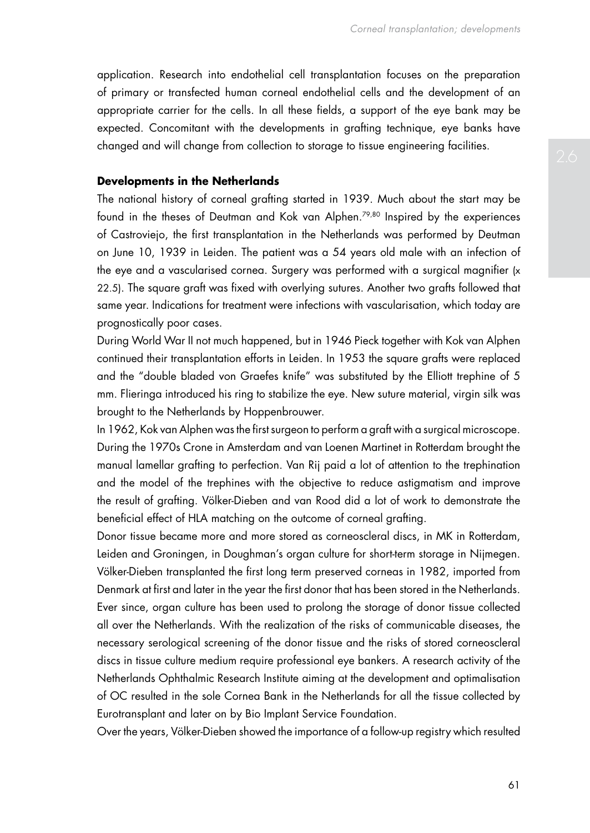application. Research into endothelial cell transplantation focuses on the preparation of primary or transfected human corneal endothelial cells and the development of an appropriate carrier for the cells. In all these fields, a support of the eye bank may be expected. Concomitant with the developments in grafting technique, eye banks have changed and will change from collection to storage to tissue engineering facilities.

#### **Developments in the Netherlands**

The national history of corneal grafting started in 1939. Much about the start may be found in the theses of Deutman and Kok van Alphen.79,80 Inspired by the experiences of Castroviejo, the first transplantation in the Netherlands was performed by Deutman on June 10, 1939 in Leiden. The patient was a 54 years old male with an infection of the eye and a vascularised cornea. Surgery was performed with a surgical magnifier (x 22.5). The square graft was fixed with overlying sutures. Another two grafts followed that same year. Indications for treatment were infections with vascularisation, which today are prognostically poor cases.

During World War II not much happened, but in 1946 Pieck together with Kok van Alphen continued their transplantation efforts in Leiden. In 1953 the square grafts were replaced and the "double bladed von Graefes knife" was substituted by the Elliott trephine of 5 mm. Flieringa introduced his ring to stabilize the eye. New suture material, virgin silk was brought to the Netherlands by Hoppenbrouwer.

In 1962, Kok van Alphen was the first surgeon to perform a graft with a surgical microscope. During the 1970s Crone in Amsterdam and van Loenen Martinet in Rotterdam brought the manual lamellar grafting to perfection. Van Rij paid a lot of attention to the trephination and the model of the trephines with the objective to reduce astigmatism and improve the result of grafting. Völker-Dieben and van Rood did a lot of work to demonstrate the beneficial effect of HLA matching on the outcome of corneal grafting.

Donor tissue became more and more stored as corneoscleral discs, in MK in Rotterdam, Leiden and Groningen, in Doughman's organ culture for short-term storage in Nijmegen. Völker-Dieben transplanted the first long term preserved corneas in 1982, imported from Denmark at first and later in the year the first donor that has been stored in the Netherlands. Ever since, organ culture has been used to prolong the storage of donor tissue collected all over the Netherlands. With the realization of the risks of communicable diseases, the necessary serological screening of the donor tissue and the risks of stored corneoscleral discs in tissue culture medium require professional eye bankers. A research activity of the Netherlands Ophthalmic Research Institute aiming at the development and optimalisation of OC resulted in the sole Cornea Bank in the Netherlands for all the tissue collected by Eurotransplant and later on by Bio Implant Service Foundation.

Over the years, Völker-Dieben showed the importance of a follow-up registry which resulted